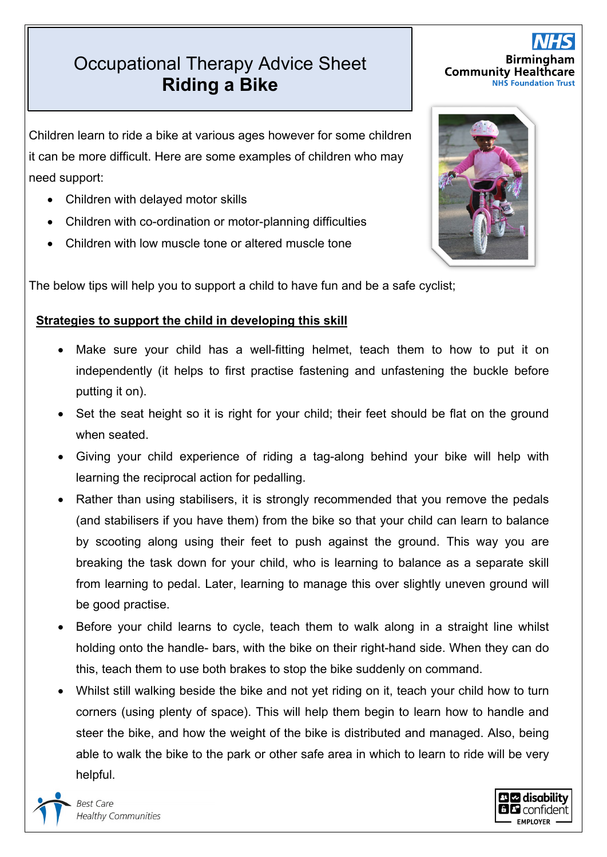## Occupational Therapy Advice Sheet Occupational Sheet **Riding a Bike Riding a Bike**<br> **Riding a Bike**<br> **Riding a Bike**<br> **Riding a Bike**

Children learn to ride a bike at various ages however for some children it can be more difficult. Here are some examples of children who may need support:

- Children with delayed motor skills
- Children with co-ordination or motor-planning difficulties
- Children with low muscle tone or altered muscle tone

The below tips will help you to support a child to have fun and be a safe cyclist;

## **Strategies to support the child in developing this skill**

- Make sure your child has a well-fitting helmet, teach them to how to put it on independently (it helps to first practise fastening and unfastening the buckle before putting it on).
- Set the seat height so it is right for your child; their feet should be flat on the ground when seated.
- Giving your child experience of riding a tag-along behind your bike will help with learning the reciprocal action for pedalling.
- Rather than using stabilisers, it is strongly recommended that you remove the pedals (and stabilisers if you have them) from the bike so that your child can learn to balance by scooting along using their feet to push against the ground. This way you are breaking the task down for your child, who is learning to balance as a separate skill from learning to pedal. Later, learning to manage this over slightly uneven ground will be good practise.
- Before your child learns to cycle, teach them to walk along in a straight line whilst holding onto the handle- bars, with the bike on their right-hand side. When they can do this, teach them to use both brakes to stop the bike suddenly on command.
- Whilst still walking beside the bike and not yet riding on it, teach your child how to turn corners (using plenty of space). This will help them begin to learn how to handle and steer the bike, and how the weight of the bike is distributed and managed. Also, being able to walk the bike to the park or other safe area in which to learn to ride will be very helpful.